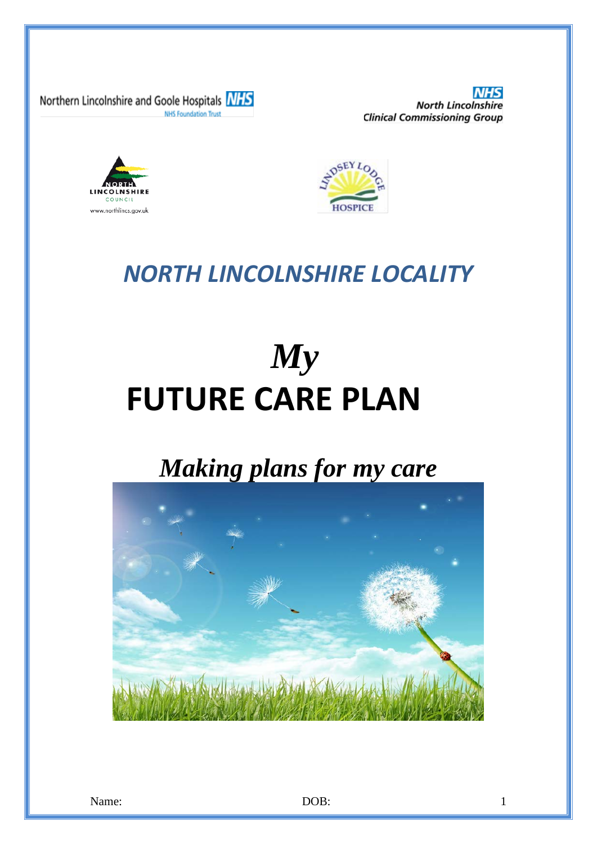Northern Lincolnshire and Goole Hospitals **NHS NHS Foundation Trust** 

**North Lincolnshire Clinical Commissioning Group** 





# *NORTH LINCOLNSHIRE LOCALITY*

# *My* **FUTURE CARE PLAN**

# *Making plans for my care*

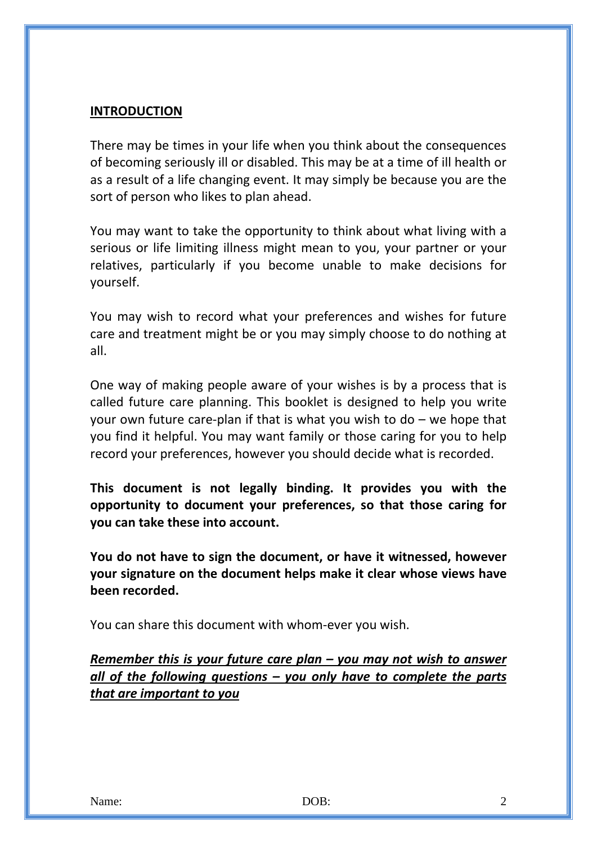#### **INTRODUCTION**

There may be times in your life when you think about the consequences of becoming seriously ill or disabled. This may be at a time of ill health or as a result of a life changing event. It may simply be because you are the sort of person who likes to plan ahead.

You may want to take the opportunity to think about what living with a serious or life limiting illness might mean to you, your partner or your relatives, particularly if you become unable to make decisions for yourself.

You may wish to record what your preferences and wishes for future care and treatment might be or you may simply choose to do nothing at all.

One way of making people aware of your wishes is by a process that is called future care planning. This booklet is designed to help you write your own future care-plan if that is what you wish to  $do - we$  hope that you find it helpful. You may want family or those caring for you to help record your preferences, however you should decide what is recorded.

**This document is not legally binding. It provides you with the opportunity to document your preferences, so that those caring for you can take these into account.**

**You do not have to sign the document, or have it witnessed, however your signature on the document helps make it clear whose views have been recorded.**

You can share this document with whom-ever you wish.

*Remember this is your future care plan – you may not wish to answer all of the following questions – you only have to complete the parts that are important to you*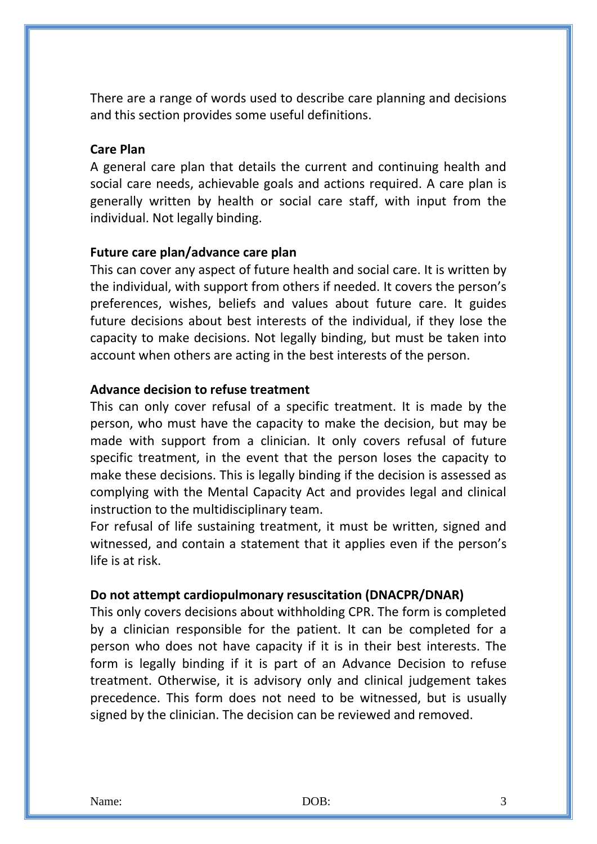There are a range of words used to describe care planning and decisions and this section provides some useful definitions.

#### **Care Plan**

A general care plan that details the current and continuing health and social care needs, achievable goals and actions required. A care plan is generally written by health or social care staff, with input from the individual. Not legally binding.

#### **Future care plan/advance care plan**

This can cover any aspect of future health and social care. It is written by the individual, with support from others if needed. It covers the person's preferences, wishes, beliefs and values about future care. It guides future decisions about best interests of the individual, if they lose the capacity to make decisions. Not legally binding, but must be taken into account when others are acting in the best interests of the person.

#### **Advance decision to refuse treatment**

This can only cover refusal of a specific treatment. It is made by the person, who must have the capacity to make the decision, but may be made with support from a clinician. It only covers refusal of future specific treatment, in the event that the person loses the capacity to make these decisions. This is legally binding if the decision is assessed as complying with the Mental Capacity Act and provides legal and clinical instruction to the multidisciplinary team.

For refusal of life sustaining treatment, it must be written, signed and witnessed, and contain a statement that it applies even if the person's life is at risk.

#### **Do not attempt cardiopulmonary resuscitation (DNACPR/DNAR)**

This only covers decisions about withholding CPR. The form is completed by a clinician responsible for the patient. It can be completed for a person who does not have capacity if it is in their best interests. The form is legally binding if it is part of an Advance Decision to refuse treatment. Otherwise, it is advisory only and clinical judgement takes precedence. This form does not need to be witnessed, but is usually signed by the clinician. The decision can be reviewed and removed.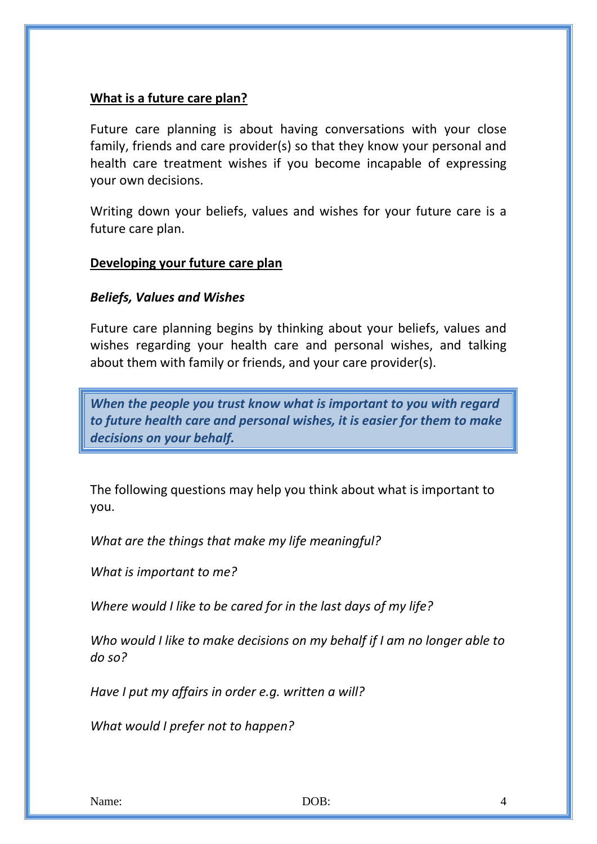#### **What is a future care plan?**

Future care planning is about having conversations with your close family, friends and care provider(s) so that they know your personal and health care treatment wishes if you become incapable of expressing your own decisions.

Writing down your beliefs, values and wishes for your future care is a future care plan.

#### **Developing your future care plan**

#### *Beliefs, Values and Wishes*

Future care planning begins by thinking about your beliefs, values and wishes regarding your health care and personal wishes, and talking about them with family or friends, and your care provider(s).

*When the people you trust know what is important to you with regard to future health care and personal wishes, it is easier for them to make decisions on your behalf.*

The following questions may help you think about what is important to you.

*What are the things that make my life meaningful?*

*What is important to me?*

*Where would I like to be cared for in the last days of my life?*

*Who would I like to make decisions on my behalf if I am no longer able to do so?*

*Have I put my affairs in order e.g. written a will?*

*What would I prefer not to happen?*

Name: 2008: 2008: 2008: 2008: 2012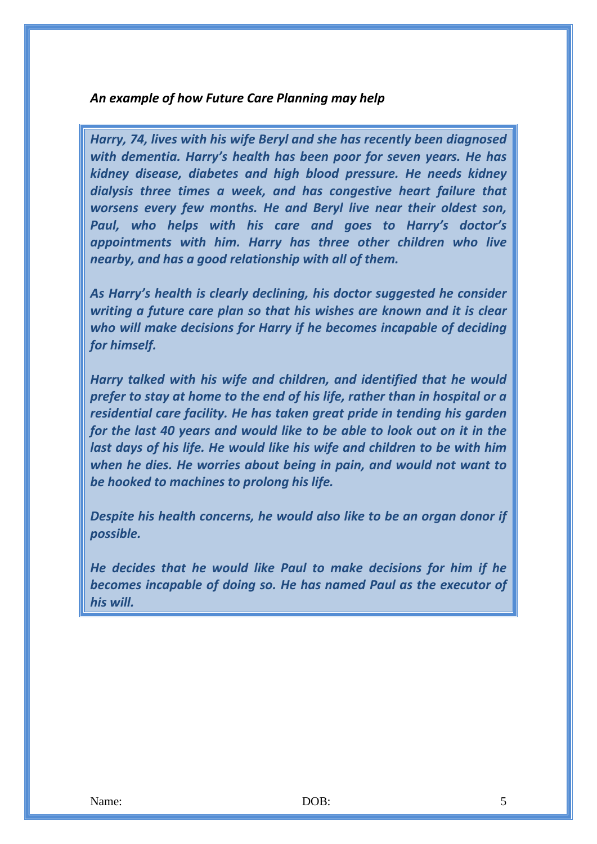#### *An example of how Future Care Planning may help*

*Harry, 74, lives with his wife Beryl and she has recently been diagnosed with dementia. Harry's health has been poor for seven years. He has kidney disease, diabetes and high blood pressure. He needs kidney dialysis three times a week, and has congestive heart failure that worsens every few months. He and Beryl live near their oldest son, Paul, who helps with his care and goes to Harry's doctor's appointments with him. Harry has three other children who live nearby, and has a good relationship with all of them.* 

*As Harry's health is clearly declining, his doctor suggested he consider writing a future care plan so that his wishes are known and it is clear who will make decisions for Harry if he becomes incapable of deciding for himself.* 

*Harry talked with his wife and children, and identified that he would prefer to stay at home to the end of his life, rather than in hospital or a residential care facility. He has taken great pride in tending his garden for the last 40 years and would like to be able to look out on it in the last days of his life. He would like his wife and children to be with him when he dies. He worries about being in pain, and would not want to be hooked to machines to prolong his life.* 

*Despite his health concerns, he would also like to be an organ donor if possible.* 

*He decides that he would like Paul to make decisions for him if he becomes incapable of doing so. He has named Paul as the executor of his will.*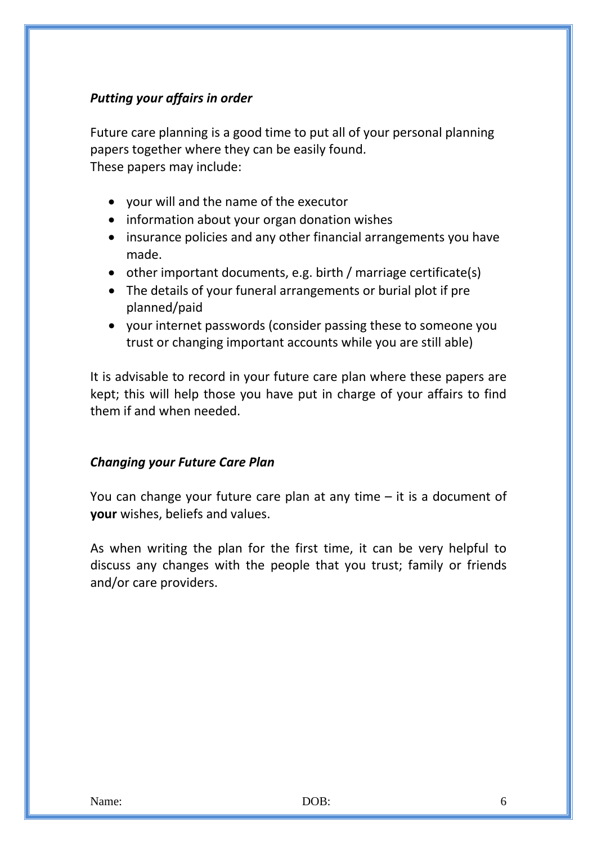#### *Putting your affairs in order*

Future care planning is a good time to put all of your personal planning papers together where they can be easily found. These papers may include:

- your will and the name of the executor
- information about your organ donation wishes
- insurance policies and any other financial arrangements you have made.
- other important documents, e.g. birth / marriage certificate(s)
- The details of your funeral arrangements or burial plot if pre planned/paid
- your internet passwords (consider passing these to someone you trust or changing important accounts while you are still able)

It is advisable to record in your future care plan where these papers are kept; this will help those you have put in charge of your affairs to find them if and when needed.

#### *Changing your Future Care Plan*

You can change your future care plan at any time – it is a document of **your** wishes, beliefs and values.

As when writing the plan for the first time, it can be very helpful to discuss any changes with the people that you trust; family or friends and/or care providers.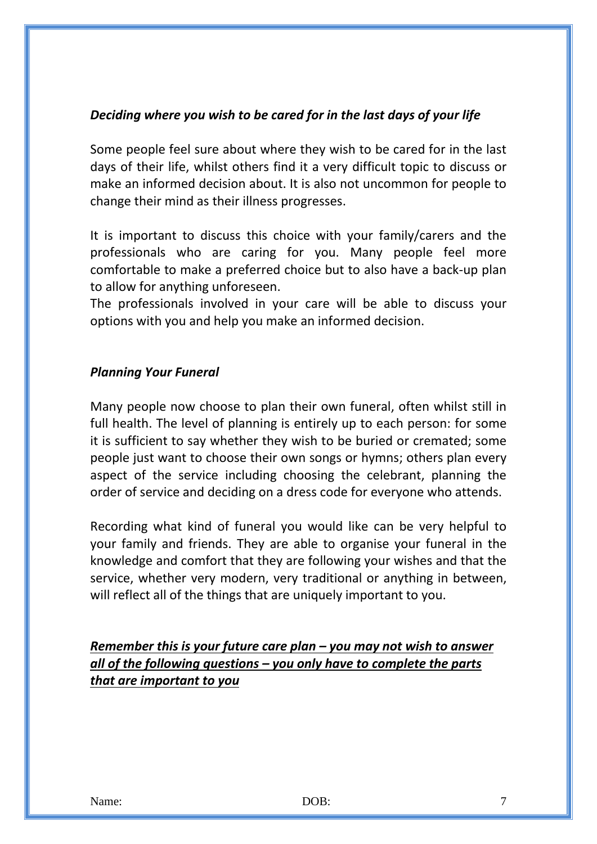#### *Deciding where you wish to be cared for in the last days of your life*

Some people feel sure about where they wish to be cared for in the last days of their life, whilst others find it a very difficult topic to discuss or make an informed decision about. It is also not uncommon for people to change their mind as their illness progresses.

It is important to discuss this choice with your family/carers and the professionals who are caring for you. Many people feel more comfortable to make a preferred choice but to also have a back-up plan to allow for anything unforeseen.

The professionals involved in your care will be able to discuss your options with you and help you make an informed decision.

#### *Planning Your Funeral*

Many people now choose to plan their own funeral, often whilst still in full health. The level of planning is entirely up to each person: for some it is sufficient to say whether they wish to be buried or cremated; some people just want to choose their own songs or hymns; others plan every aspect of the service including choosing the celebrant, planning the order of service and deciding on a dress code for everyone who attends.

Recording what kind of funeral you would like can be very helpful to your family and friends. They are able to organise your funeral in the knowledge and comfort that they are following your wishes and that the service, whether very modern, very traditional or anything in between, will reflect all of the things that are uniquely important to you.

*Remember this is your future care plan – you may not wish to answer all of the following questions – you only have to complete the parts that are important to you*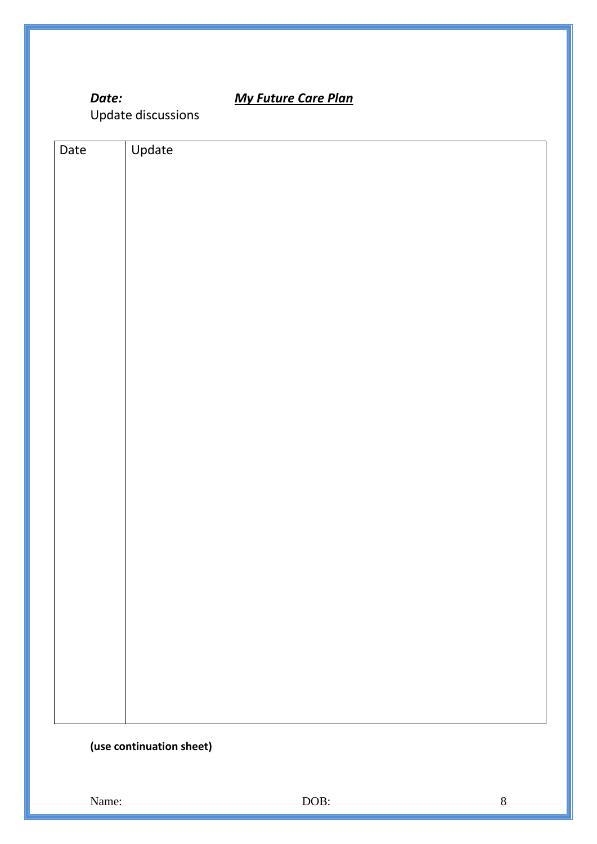### *Date: My Future Care Plan*

Update discussions

| Date | Update                   |
|------|--------------------------|
|      |                          |
|      |                          |
|      |                          |
|      |                          |
|      |                          |
|      |                          |
|      |                          |
|      |                          |
|      |                          |
|      |                          |
|      |                          |
|      |                          |
|      |                          |
|      |                          |
|      |                          |
|      |                          |
|      |                          |
|      |                          |
|      |                          |
|      |                          |
|      |                          |
|      |                          |
|      |                          |
|      | (use continuation sheet) |

Name: BOOB: 8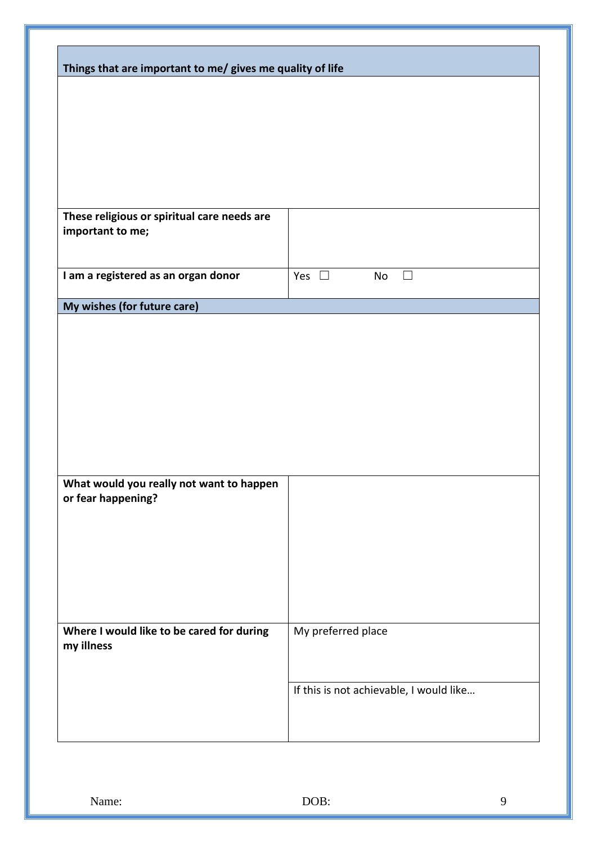| Things that are important to me/ gives me quality of life |                                          |  |
|-----------------------------------------------------------|------------------------------------------|--|
|                                                           |                                          |  |
|                                                           |                                          |  |
|                                                           |                                          |  |
|                                                           |                                          |  |
|                                                           |                                          |  |
|                                                           |                                          |  |
|                                                           |                                          |  |
| These religious or spiritual care needs are               |                                          |  |
| important to me;                                          |                                          |  |
|                                                           |                                          |  |
|                                                           |                                          |  |
| I am a registered as an organ donor                       | Yes $\square$<br>No<br>$\vert \ \ \vert$ |  |
|                                                           |                                          |  |
| My wishes (for future care)                               |                                          |  |
|                                                           |                                          |  |
|                                                           |                                          |  |
|                                                           |                                          |  |
|                                                           |                                          |  |
|                                                           |                                          |  |
|                                                           |                                          |  |
|                                                           |                                          |  |
|                                                           |                                          |  |
|                                                           |                                          |  |
| What would you really not want to happen                  |                                          |  |
| or fear happening?                                        |                                          |  |
|                                                           |                                          |  |
|                                                           |                                          |  |
|                                                           |                                          |  |
|                                                           |                                          |  |
|                                                           |                                          |  |
|                                                           |                                          |  |
|                                                           |                                          |  |
| Where I would like to be cared for during                 | My preferred place                       |  |
| my illness                                                |                                          |  |
|                                                           |                                          |  |
|                                                           | If this is not achievable, I would like  |  |
|                                                           |                                          |  |
|                                                           |                                          |  |
|                                                           |                                          |  |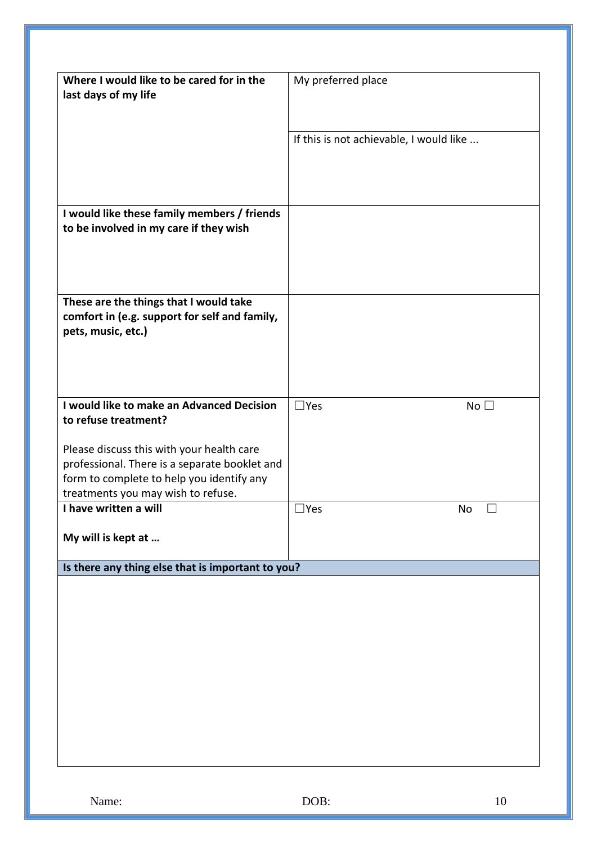| Where I would like to be cared for in the<br>last days of my life                                                                                                                                                                                  | My preferred place                      |
|----------------------------------------------------------------------------------------------------------------------------------------------------------------------------------------------------------------------------------------------------|-----------------------------------------|
|                                                                                                                                                                                                                                                    | If this is not achievable, I would like |
| I would like these family members / friends<br>to be involved in my care if they wish                                                                                                                                                              |                                         |
| These are the things that I would take<br>comfort in (e.g. support for self and family,<br>pets, music, etc.)                                                                                                                                      |                                         |
| I would like to make an Advanced Decision<br>to refuse treatment?<br>Please discuss this with your health care<br>professional. There is a separate booklet and<br>form to complete to help you identify any<br>treatments you may wish to refuse. | $\Box$ Yes<br>No <sub>1</sub>           |
| I have written a will<br>My will is kept at                                                                                                                                                                                                        | $\square$ Yes<br>No<br>$\Box$           |
| Is there any thing else that is important to you?                                                                                                                                                                                                  |                                         |
|                                                                                                                                                                                                                                                    |                                         |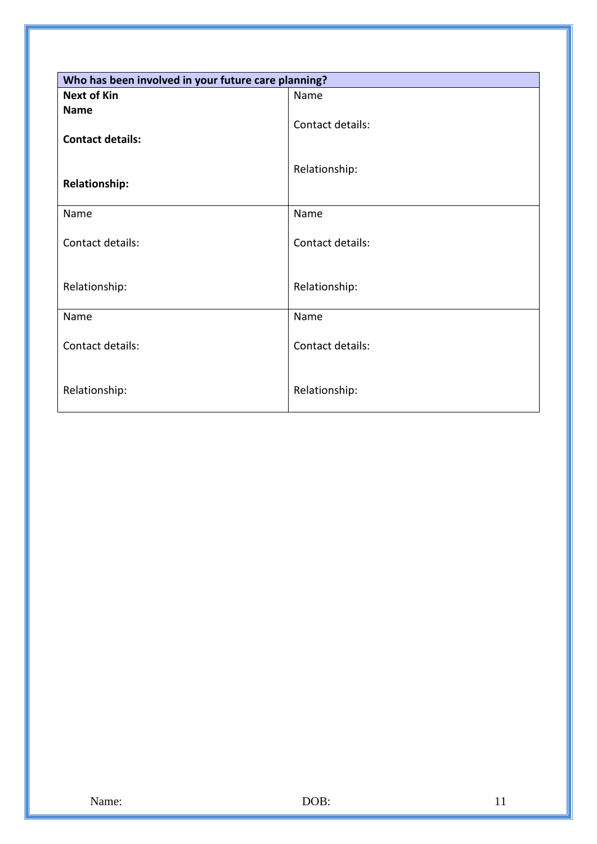| Who has been involved in your future care planning? |                  |  |
|-----------------------------------------------------|------------------|--|
| <b>Next of Kin</b>                                  | Name             |  |
| <b>Name</b><br><b>Contact details:</b>              | Contact details: |  |
| <b>Relationship:</b>                                | Relationship:    |  |
| Name                                                | Name             |  |
| Contact details:                                    | Contact details: |  |
| Relationship:                                       | Relationship:    |  |
| Name                                                | Name             |  |
| Contact details:                                    | Contact details: |  |
| Relationship:                                       | Relationship:    |  |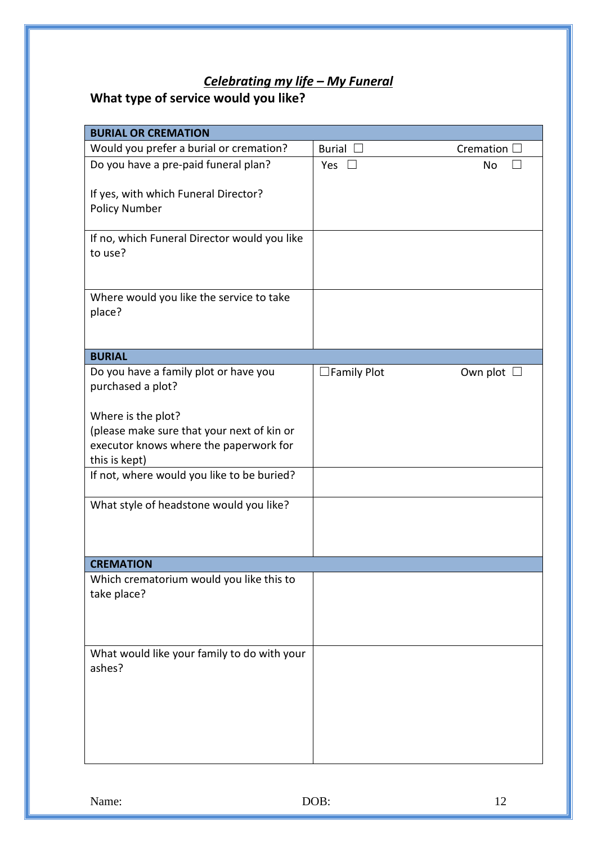## *Celebrating my life – My Funeral*

## **What type of service would you like?**

| <b>BURIAL OR CREMATION</b>                                   |                    |                     |  |  |
|--------------------------------------------------------------|--------------------|---------------------|--|--|
| Would you prefer a burial or cremation?                      | Burial [           | Cremation $\square$ |  |  |
| Do you have a pre-paid funeral plan?                         | Yes $\square$      | <b>No</b>           |  |  |
| If yes, with which Funeral Director?<br><b>Policy Number</b> |                    |                     |  |  |
| If no, which Funeral Director would you like<br>to use?      |                    |                     |  |  |
| Where would you like the service to take<br>place?           |                    |                     |  |  |
| <b>BURIAL</b>                                                |                    |                     |  |  |
| Do you have a family plot or have you<br>purchased a plot?   | $\Box$ Family Plot | Own plot $\Box$     |  |  |
| Where is the plot?                                           |                    |                     |  |  |
| (please make sure that your next of kin or                   |                    |                     |  |  |
| executor knows where the paperwork for                       |                    |                     |  |  |
| this is kept)                                                |                    |                     |  |  |
| If not, where would you like to be buried?                   |                    |                     |  |  |
| What style of headstone would you like?                      |                    |                     |  |  |
|                                                              |                    |                     |  |  |
| <b>CREMATION</b>                                             |                    |                     |  |  |
| Which crematorium would you like this to                     |                    |                     |  |  |
| take place?                                                  |                    |                     |  |  |
|                                                              |                    |                     |  |  |
|                                                              |                    |                     |  |  |
| What would like your family to do with your                  |                    |                     |  |  |
| ashes?                                                       |                    |                     |  |  |
|                                                              |                    |                     |  |  |
|                                                              |                    |                     |  |  |
|                                                              |                    |                     |  |  |
|                                                              |                    |                     |  |  |
|                                                              |                    |                     |  |  |
|                                                              |                    |                     |  |  |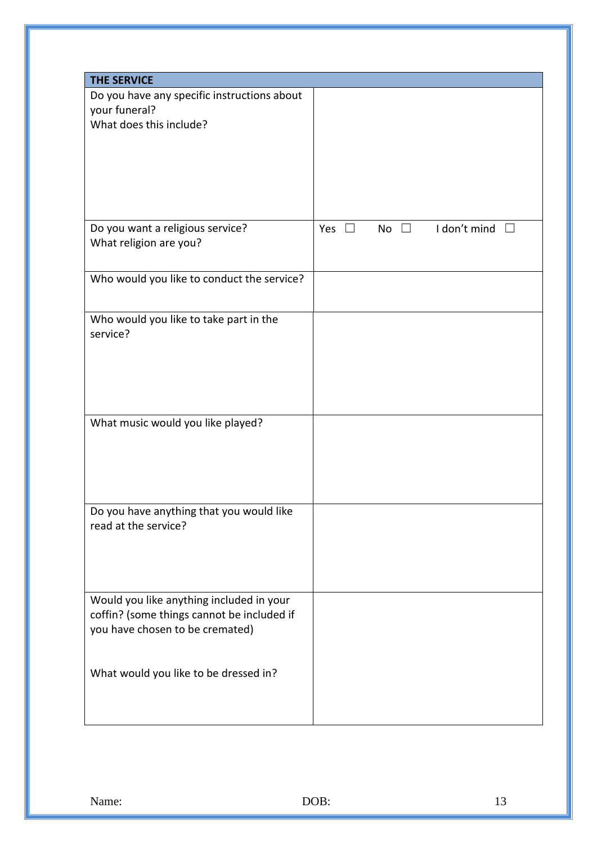| <b>THE SERVICE</b>                          |                                               |
|---------------------------------------------|-----------------------------------------------|
| Do you have any specific instructions about |                                               |
| your funeral?                               |                                               |
| What does this include?                     |                                               |
|                                             |                                               |
|                                             |                                               |
|                                             |                                               |
|                                             |                                               |
|                                             |                                               |
|                                             |                                               |
| Do you want a religious service?            | I don't mind<br>Yes $\square$<br>No $\square$ |
| What religion are you?                      |                                               |
|                                             |                                               |
|                                             |                                               |
| Who would you like to conduct the service?  |                                               |
|                                             |                                               |
| Who would you like to take part in the      |                                               |
| service?                                    |                                               |
|                                             |                                               |
|                                             |                                               |
|                                             |                                               |
|                                             |                                               |
|                                             |                                               |
| What music would you like played?           |                                               |
|                                             |                                               |
|                                             |                                               |
|                                             |                                               |
|                                             |                                               |
|                                             |                                               |
| Do you have anything that you would like    |                                               |
| read at the service?                        |                                               |
|                                             |                                               |
|                                             |                                               |
|                                             |                                               |
|                                             |                                               |
| Would you like anything included in your    |                                               |
| coffin? (some things cannot be included if  |                                               |
| you have chosen to be cremated)             |                                               |
|                                             |                                               |
|                                             |                                               |
| What would you like to be dressed in?       |                                               |
|                                             |                                               |
|                                             |                                               |
|                                             |                                               |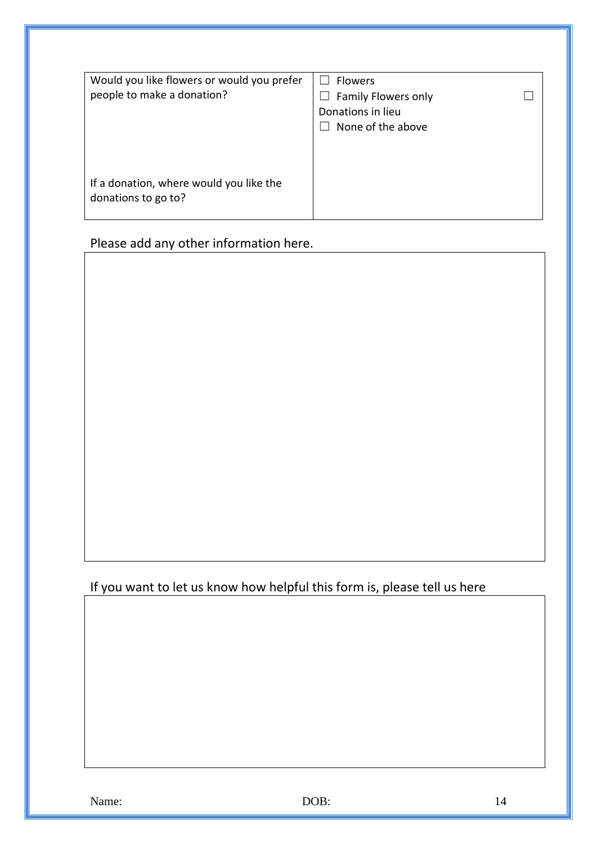| Would you like flowers or would you prefer | <b>Flowers</b>                      |
|--------------------------------------------|-------------------------------------|
| people to make a donation?                 | Family Flowers only<br>$\mathsf{L}$ |
|                                            | Donations in lieu                   |
|                                            | None of the above                   |
|                                            |                                     |
|                                            |                                     |
|                                            |                                     |
| If a donation, where would you like the    |                                     |
| donations to go to?                        |                                     |
|                                            |                                     |

Please add any other information here.

#### If you want to let us know how helpful this form is, please tell us here